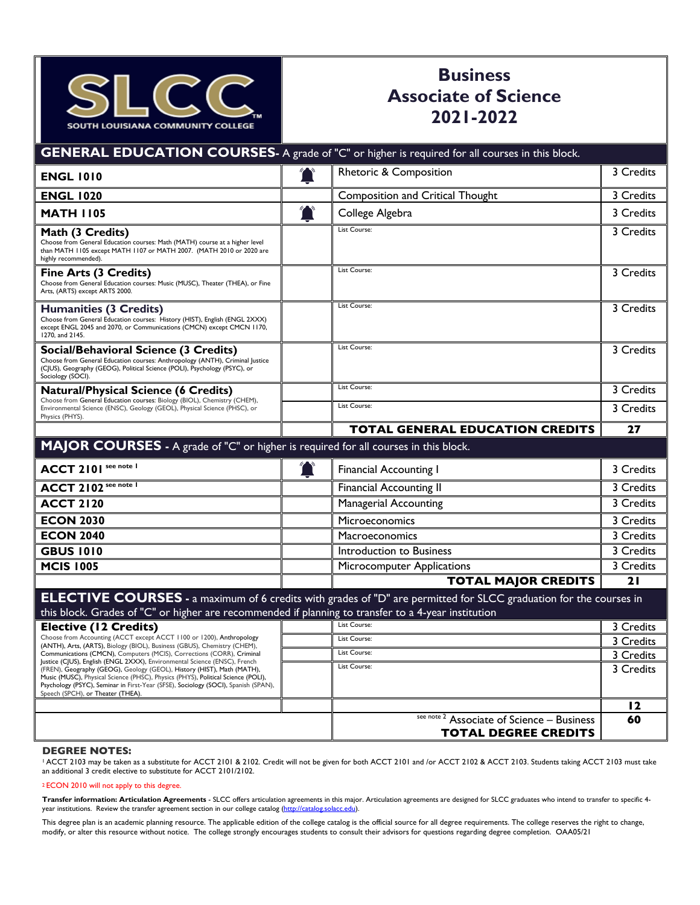

## **Business Associate of Science 2021-2022**

|                                                                                                                                                                                                                                                                                                                                                                    | <b>GENERAL EDUCATION COURSES-</b> A grade of "C" or higher is required for all courses in this block.                    |           |
|--------------------------------------------------------------------------------------------------------------------------------------------------------------------------------------------------------------------------------------------------------------------------------------------------------------------------------------------------------------------|--------------------------------------------------------------------------------------------------------------------------|-----------|
| <b>ENGL 1010</b>                                                                                                                                                                                                                                                                                                                                                   | Rhetoric & Composition                                                                                                   | 3 Credits |
| <b>ENGL 1020</b>                                                                                                                                                                                                                                                                                                                                                   | <b>Composition and Critical Thought</b>                                                                                  | 3 Credits |
| <b>MATH 1105</b>                                                                                                                                                                                                                                                                                                                                                   | $\sum_{i=1}^{n}$<br>College Algebra                                                                                      | 3 Credits |
| Math (3 Credits)<br>Choose from General Education courses: Math (MATH) course at a higher level<br>than MATH 1105 except MATH 1107 or MATH 2007. (MATH 2010 or 2020 are<br>highly recommended).                                                                                                                                                                    | List Course:                                                                                                             | 3 Credits |
| Fine Arts (3 Credits)<br>Choose from General Education courses: Music (MUSC), Theater (THEA), or Fine<br>Arts, (ARTS) except ARTS 2000.                                                                                                                                                                                                                            | List Course:                                                                                                             | 3 Credits |
| Humanities (3 Credits)<br>Choose from General Education courses: History (HIST), English (ENGL 2XXX)<br>except ENGL 2045 and 2070, or Communications (CMCN) except CMCN 1170,<br>1270, and 2145.                                                                                                                                                                   | List Course:                                                                                                             | 3 Credits |
| Social/Behavioral Science (3 Credits)<br>Choose from General Education courses: Anthropology (ANTH), Criminal Justice<br>(CJUS), Geography (GEOG), Political Science (POLI), Psychology (PSYC), or<br>Sociology (SOCI).                                                                                                                                            | List Course:                                                                                                             | 3 Credits |
| <b>Natural/Physical Science (6 Credits)</b><br>Choose from General Education courses: Biology (BIOL), Chemistry (CHEM),                                                                                                                                                                                                                                            | List Course:                                                                                                             | 3 Credits |
| Environmental Science (ENSC), Geology (GEOL), Physical Science (PHSC), or<br>Physics (PHYS).                                                                                                                                                                                                                                                                       | List Course:                                                                                                             | 3 Credits |
|                                                                                                                                                                                                                                                                                                                                                                    | <b>TOTAL GENERAL EDUCATION CREDITS</b>                                                                                   | 27        |
| MAJOR COURSES - A grade of "C" or higher is required for all courses in this block.                                                                                                                                                                                                                                                                                |                                                                                                                          |           |
| <b>ACCT 2101</b> see note 1                                                                                                                                                                                                                                                                                                                                        | $\mathcal{T}$<br><b>Financial Accounting I</b>                                                                           | 3 Credits |
| <b>ACCT 2102</b> see note 1                                                                                                                                                                                                                                                                                                                                        | <b>Financial Accounting II</b>                                                                                           | 3 Credits |
| <b>ACCT 2120</b>                                                                                                                                                                                                                                                                                                                                                   | <b>Managerial Accounting</b>                                                                                             | 3 Credits |
| <b>ECON 2030</b>                                                                                                                                                                                                                                                                                                                                                   | Microeconomics                                                                                                           | 3 Credits |
| <b>ECON 2040</b>                                                                                                                                                                                                                                                                                                                                                   | Macroeconomics                                                                                                           | 3 Credits |
| <b>GBUS 1010</b>                                                                                                                                                                                                                                                                                                                                                   | Introduction to Business                                                                                                 | 3 Credits |
| <b>MCIS 1005</b>                                                                                                                                                                                                                                                                                                                                                   | Microcomputer Applications                                                                                               | 3 Credits |
|                                                                                                                                                                                                                                                                                                                                                                    | <b>TOTAL MAJOR CREDITS</b>                                                                                               | 21        |
| this block. Grades of "C" or higher are recommended if planning to transfer to a 4-year institution                                                                                                                                                                                                                                                                | <b>ELECTIVE COURSES</b> - a maximum of 6 credits with grades of "D" are permitted for SLCC graduation for the courses in |           |
| <b>Elective (12 Credits)</b>                                                                                                                                                                                                                                                                                                                                       | List Course:                                                                                                             | 3 Credits |
| Choose from Accounting (ACCT except ACCT 1100 or 1200), Anthropology                                                                                                                                                                                                                                                                                               | List Course:                                                                                                             | 3 Credits |
| (ANTH), Arts, (ARTS), Biology (BIOL), Business (GBUS), Chemistry (CHEM),<br>Communications (CMCN), Computers (MCIS), Corrections (CORR), Criminal                                                                                                                                                                                                                  | List Course:                                                                                                             | 3 Credits |
| Justice (CJUS), English (ENGL 2XXX), Environmental Science (ENSC), French<br>(FREN), Geography (GEOG), Geology (GEOL), History (HIST), Math (MATH),<br>Music (MUSC), Physical Science (PHSC), Physics (PHYS), Political Science (POLI),<br>Psychology (PSYC), Seminar in First-Year (SFSE), Sociology (SOCI), Spanish (SPAN),<br>Speech (SPCH), or Theater (THEA). | List Course:                                                                                                             | 3 Credits |
|                                                                                                                                                                                                                                                                                                                                                                    |                                                                                                                          | 12        |
|                                                                                                                                                                                                                                                                                                                                                                    | see note 2<br>Associate of Science - Business<br><b>TOTAL DEGREE CREDITS</b>                                             | 60        |
|                                                                                                                                                                                                                                                                                                                                                                    |                                                                                                                          |           |

## **DEGREE NOTES:**

**TIVE**  1 ACCT 2103 may be taken as a substitute for ACCT 2101 & 2102. Credit will not be given for both ACCT 2101 and /or ACCT 2102 & ACCT 2103. Students taking ACCT 2103 must take an additional 3 credit elective to substitute for ACCT 2101/2102.

## 2 ECON 2010 will not apply to this degree.

Transfer information: Articulation Agreements - SLCC offers articulation agreements in this major. Articulation agreements are designed for SLCC graduates who intend to transfer to specific 4-<br>year institutions. Review the year institutions. Review the transfer agreement section in our college catalog (http://catalog.solacc.edu).

This degree plan is an academic planning resource. The applicable edition of the college catalog is the official source for all degree requirements. The college reserves the right to change, modify, or alter this resource without notice. The college strongly encourages students to consult their advisors for questions regarding degree completion. OAA05/21